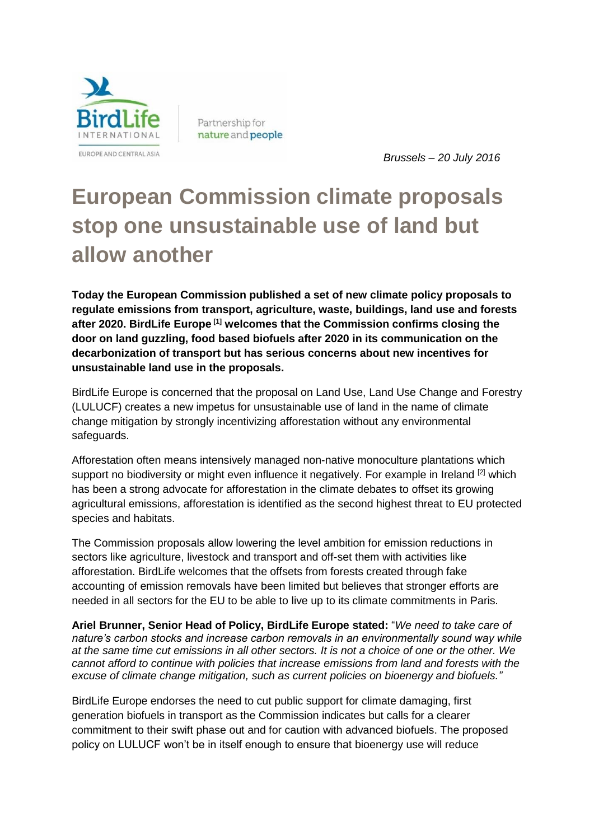

Partnership for nature and people

 *Brussels – 20 July 2016*

## **European Commission climate proposals stop one unsustainable use of land but allow another**

**Today the European Commission published a set of new climate policy proposals to regulate emissions from transport, agriculture, waste, buildings, land use and forests after 2020. BirdLife Europe [1] welcomes that the Commission confirms closing the door on land guzzling, food based biofuels after 2020 in its communication on the decarbonization of transport but has serious concerns about new incentives for unsustainable land use in the proposals.**

BirdLife Europe is concerned that the proposal on Land Use, Land Use Change and Forestry (LULUCF) creates a new impetus for unsustainable use of land in the name of climate change mitigation by strongly incentivizing afforestation without any environmental safeguards.

Afforestation often means intensively managed non-native monoculture plantations which support no biodiversity or might even influence it negatively. For example in Ireland <sup>[2]</sup> which has been a strong advocate for afforestation in the climate debates to offset its growing agricultural emissions, afforestation is identified as the second highest threat to EU protected species and habitats.

The Commission proposals allow lowering the level ambition for emission reductions in sectors like agriculture, livestock and transport and off-set them with activities like afforestation. BirdLife welcomes that the offsets from forests created through fake accounting of emission removals have been limited but believes that stronger efforts are needed in all sectors for the EU to be able to live up to its climate commitments in Paris.

**Ariel Brunner, Senior Head of Policy, BirdLife Europe stated:** "*We need to take care of nature's carbon stocks and increase carbon removals in an environmentally sound way while at the same time cut emissions in all other sectors. It is not a choice of one or the other. We cannot afford to continue with policies that increase emissions from land and forests with the excuse of climate change mitigation, such as current policies on bioenergy and biofuels."* 

BirdLife Europe endorses the need to cut public support for climate damaging, first generation biofuels in transport as the Commission indicates but calls for a clearer commitment to their swift phase out and for caution with advanced biofuels. The proposed policy on LULUCF won't be in itself enough to ensure that bioenergy use will reduce